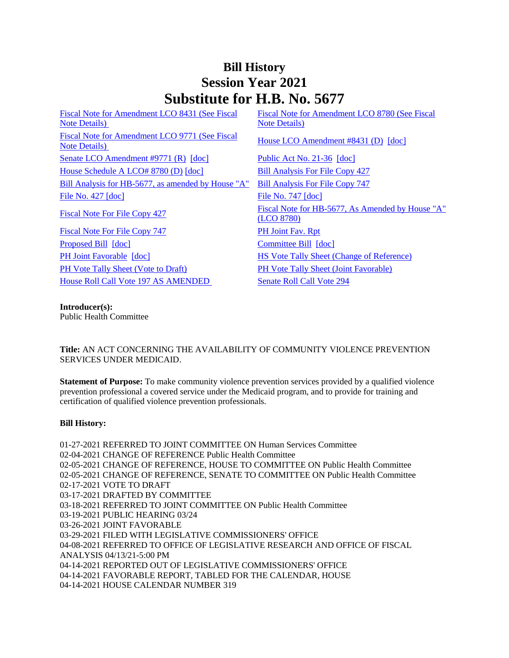## **Bill History Session Year 2021 Substitute for H.B. No. 5677**

| Fiscal Note for Amendment LCO 8431 (See Fiscal     | Fiscal Note for Amendment LCO 8780 (See Fiscal   |
|----------------------------------------------------|--------------------------------------------------|
| <b>Note Details</b> )                              | <b>Note Details</b> )                            |
| Fiscal Note for Amendment LCO 9771 (See Fiscal     | House LCO Amendment #8431 (D) [doc]              |
| <b>Note Details</b> )                              |                                                  |
| Senate LCO Amendment #9771 (R) [doc]               | Public Act No. 21-36 [doc]                       |
| House Schedule A LCO# 8780 (D) [doc]               | <b>Bill Analysis For File Copy 427</b>           |
| Bill Analysis for HB-5677, as amended by House "A" | <b>Bill Analysis For File Copy 747</b>           |
| File No. $427$ $\lceil \text{doc} \rceil$          | File No. $747$ $\lceil \text{doc} \rceil$        |
| Fiscal Note For File Copy 427                      | Fiscal Note for HB-5677, As Amended by House "A" |
|                                                    | (LCO 8780)                                       |
| <b>Fiscal Note For File Copy 747</b>               | PH Joint Fav. Rpt                                |
| Proposed Bill [doc]                                | Committee Bill [doc]                             |
| PH Joint Favorable [doc]                           | <b>HS Vote Tally Sheet (Change of Reference)</b> |
| <b>PH Vote Tally Sheet (Vote to Draft)</b>         | <b>PH Vote Tally Sheet (Joint Favorable)</b>     |
| <b>House Roll Call Vote 197 AS AMENDED</b>         | <b>Senate Roll Call Vote 294</b>                 |
|                                                    |                                                  |

**Introducer(s):**

Public Health Committee

**Title:** AN ACT CONCERNING THE AVAILABILITY OF COMMUNITY VIOLENCE PREVENTION SERVICES UNDER MEDICAID.

**Statement of Purpose:** To make community violence prevention services provided by a qualified violence prevention professional a covered service under the Medicaid program, and to provide for training and certification of qualified violence prevention professionals.

## **Bill History:**

01-27-2021 REFERRED TO JOINT COMMITTEE ON Human Services Committee 02-04-2021 CHANGE OF REFERENCE Public Health Committee 02-05-2021 CHANGE OF REFERENCE, HOUSE TO COMMITTEE ON Public Health Committee 02-05-2021 CHANGE OF REFERENCE, SENATE TO COMMITTEE ON Public Health Committee 02-17-2021 VOTE TO DRAFT 03-17-2021 DRAFTED BY COMMITTEE 03-18-2021 REFERRED TO JOINT COMMITTEE ON Public Health Committee 03-19-2021 PUBLIC HEARING 03/24 03-26-2021 JOINT FAVORABLE 03-29-2021 FILED WITH LEGISLATIVE COMMISSIONERS' OFFICE 04-08-2021 REFERRED TO OFFICE OF LEGISLATIVE RESEARCH AND OFFICE OF FISCAL ANALYSIS 04/13/21-5:00 PM 04-14-2021 REPORTED OUT OF LEGISLATIVE COMMISSIONERS' OFFICE 04-14-2021 FAVORABLE REPORT, TABLED FOR THE CALENDAR, HOUSE 04-14-2021 HOUSE CALENDAR NUMBER 319